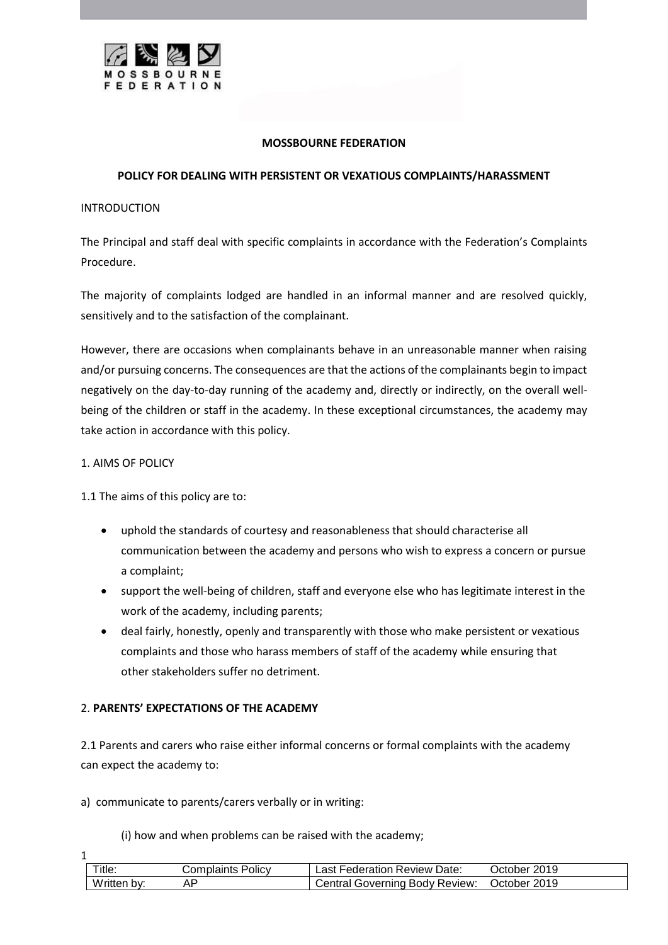

## **MOSSBOURNE FEDERATION**

## **POLICY FOR DEALING WITH PERSISTENT OR VEXATIOUS COMPLAINTS/HARASSMENT**

#### INTRODUCTION

The Principal and staff deal with specific complaints in accordance with the Federation's Complaints Procedure.

The majority of complaints lodged are handled in an informal manner and are resolved quickly, sensitively and to the satisfaction of the complainant.

However, there are occasions when complainants behave in an unreasonable manner when raising and/or pursuing concerns. The consequences are that the actions of the complainants begin to impact negatively on the day-to-day running of the academy and, directly or indirectly, on the overall wellbeing of the children or staff in the academy. In these exceptional circumstances, the academy may take action in accordance with this policy.

## 1. AIMS OF POLICY

1

1.1 The aims of this policy are to:

- uphold the standards of courtesy and reasonableness that should characterise all communication between the academy and persons who wish to express a concern or pursue a complaint;
- support the well-being of children, staff and everyone else who has legitimate interest in the work of the academy, including parents;
- deal fairly, honestly, openly and transparently with those who make persistent or vexatious complaints and those who harass members of staff of the academy while ensuring that other stakeholders suffer no detriment.

# 2. **PARENTS' EXPECTATIONS OF THE ACADEMY**

2.1 Parents and carers who raise either informal concerns or formal complaints with the academy can expect the academy to:

a) communicate to parents/carers verbally or in writing:

(i) how and when problems can be raised with the academy;

| Title.      | Complaints Policy | _ast Federation Review Date:_         | $\cdot$ 2019<br>⊃ctober ′ |
|-------------|-------------------|---------------------------------------|---------------------------|
| Written by: |                   | <b>Central Governing Body Review:</b> | October 2019              |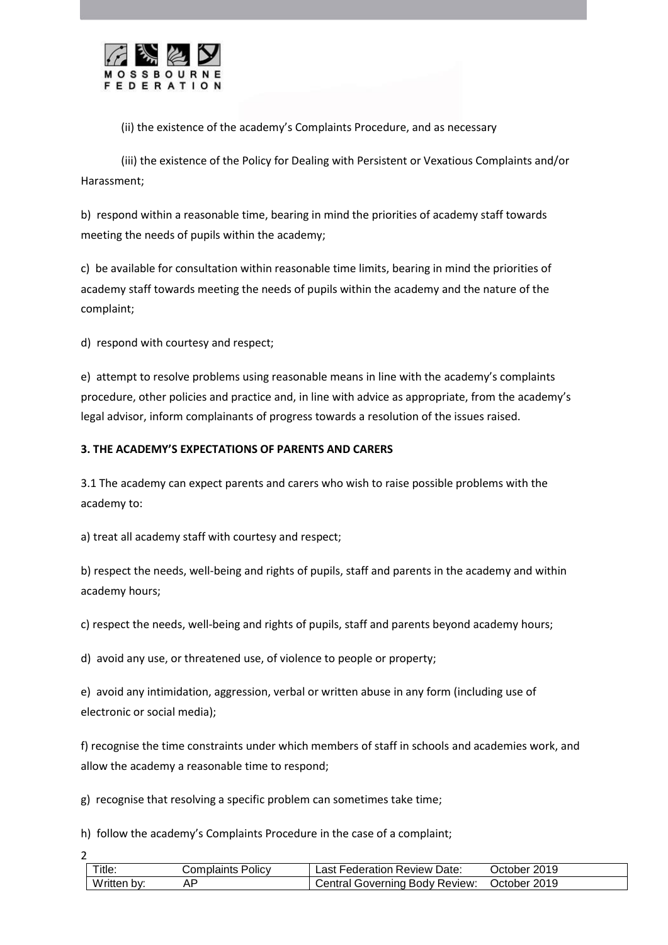

(ii) the existence of the academy's Complaints Procedure, and as necessary

(iii) the existence of the Policy for Dealing with Persistent or Vexatious Complaints and/or Harassment;

b) respond within a reasonable time, bearing in mind the priorities of academy staff towards meeting the needs of pupils within the academy;

c) be available for consultation within reasonable time limits, bearing in mind the priorities of academy staff towards meeting the needs of pupils within the academy and the nature of the complaint;

d) respond with courtesy and respect;

e) attempt to resolve problems using reasonable means in line with the academy's complaints procedure, other policies and practice and, in line with advice as appropriate, from the academy's legal advisor, inform complainants of progress towards a resolution of the issues raised.

# **3. THE ACADEMY'S EXPECTATIONS OF PARENTS AND CARERS**

3.1 The academy can expect parents and carers who wish to raise possible problems with the academy to:

a) treat all academy staff with courtesy and respect;

b) respect the needs, well-being and rights of pupils, staff and parents in the academy and within academy hours;

c) respect the needs, well-being and rights of pupils, staff and parents beyond academy hours;

d) avoid any use, or threatened use, of violence to people or property;

e) avoid any intimidation, aggression, verbal or written abuse in any form (including use of electronic or social media);

f) recognise the time constraints under which members of staff in schools and academies work, and allow the academy a reasonable time to respond;

g) recognise that resolving a specific problem can sometimes take time;

h) follow the academy's Complaints Procedure in the case of a complaint;

 $\overline{\phantom{a}}$ 

Title: Complaints Policy Last Federation Review Date: October 2019 Written by: AP AP Central Governing Body Review: October 2019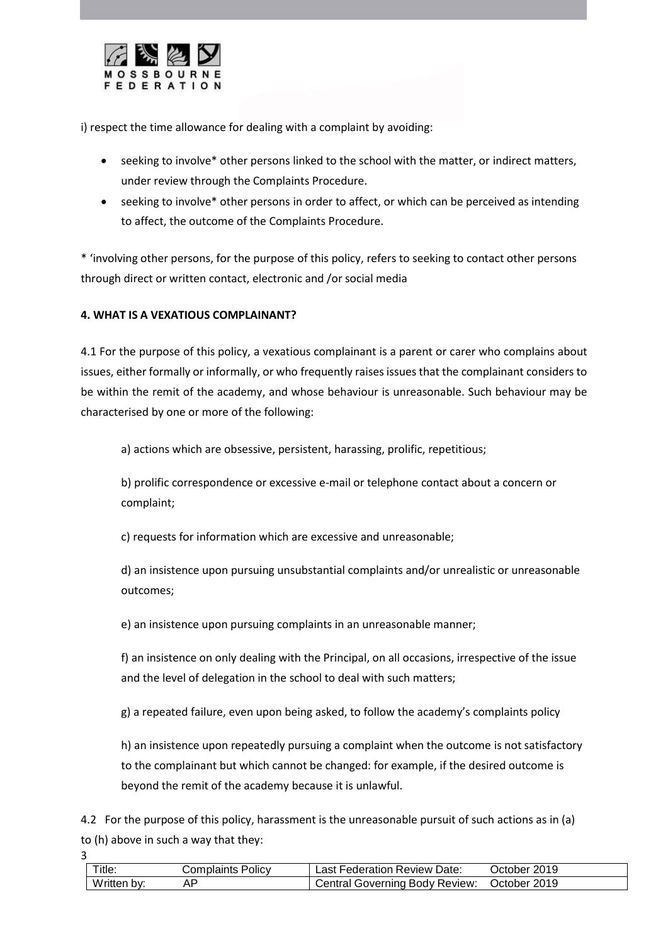

i) respect the time allowance for dealing with a complaint by avoiding:

- seeking to involve\* other persons linked to the school with the matter, or indirect matters, under review through the Complaints Procedure.
- seeking to involve\* other persons in order to affect, or which can be perceived as intending to affect, the outcome of the Complaints Procedure.

\* 'involving other persons, for the purpose of this policy, refers to seeking to contact other persons through direct or written contact, electronic and /or social media

# **4. WHAT IS A VEXATIOUS COMPLAINANT?**

3

4.1 For the purpose of this policy, a vexatious complainant is a parent or carer who complains about issues, either formally or informally, or who frequently raises issues that the complainant considers to be within the remit of the academy, and whose behaviour is unreasonable. Such behaviour may be characterised by one or more of the following:

a) actions which are obsessive, persistent, harassing, prolific, repetitious;

b) prolific correspondence or excessive e-mail or telephone contact about a concern or complaint;

c) requests for information which are excessive and unreasonable;

d) an insistence upon pursuing unsubstantial complaints and/or unrealistic or unreasonable outcomes;

e) an insistence upon pursuing complaints in an unreasonable manner;

f) an insistence on only dealing with the Principal, on all occasions, irrespective of the issue and the level of delegation in the school to deal with such matters;

g) a repeated failure, even upon being asked, to follow the academy's complaints policy

h) an insistence upon repeatedly pursuing a complaint when the outcome is not satisfactory to the complainant but which cannot be changed: for example, if the desired outcome is beyond the remit of the academy because it is unlawful.

4.2 For the purpose of this policy, harassment is the unreasonable pursuit of such actions as in (a) to (h) above in such a way that they:

| Title:         | Complaints Policy | Last Federation Review Date:   | October 2019 |
|----------------|-------------------|--------------------------------|--------------|
| Written<br>bv: |                   | Central Governing Body Review: | October 2019 |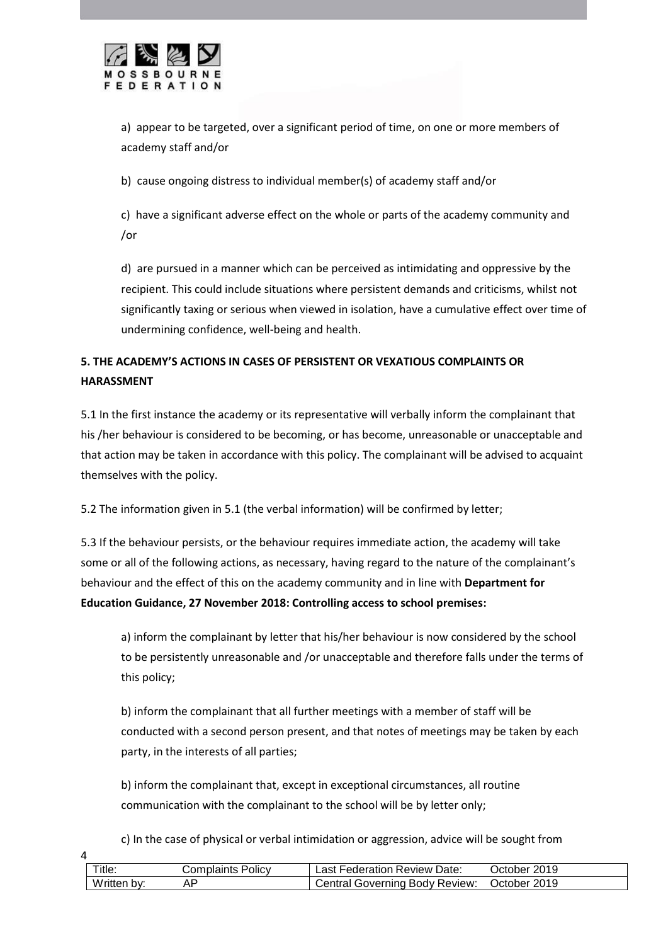

4

a) appear to be targeted, over a significant period of time, on one or more members of academy staff and/or

b) cause ongoing distress to individual member(s) of academy staff and/or

c) have a significant adverse effect on the whole or parts of the academy community and /or

d) are pursued in a manner which can be perceived as intimidating and oppressive by the recipient. This could include situations where persistent demands and criticisms, whilst not significantly taxing or serious when viewed in isolation, have a cumulative effect over time of undermining confidence, well-being and health.

# **5. THE ACADEMY'S ACTIONS IN CASES OF PERSISTENT OR VEXATIOUS COMPLAINTS OR HARASSMENT**

5.1 In the first instance the academy or its representative will verbally inform the complainant that his /her behaviour is considered to be becoming, or has become, unreasonable or unacceptable and that action may be taken in accordance with this policy. The complainant will be advised to acquaint themselves with the policy.

5.2 The information given in 5.1 (the verbal information) will be confirmed by letter;

5.3 If the behaviour persists, or the behaviour requires immediate action, the academy will take some or all of the following actions, as necessary, having regard to the nature of the complainant's behaviour and the effect of this on the academy community and in line with **Department for Education Guidance, 27 November 2018: Controlling access to school premises:**

a) inform the complainant by letter that his/her behaviour is now considered by the school to be persistently unreasonable and /or unacceptable and therefore falls under the terms of this policy;

b) inform the complainant that all further meetings with a member of staff will be conducted with a second person present, and that notes of meetings may be taken by each party, in the interests of all parties;

b) inform the complainant that, except in exceptional circumstances, all routine communication with the complainant to the school will be by letter only;

c) In the case of physical or verbal intimidation or aggression, advice will be sought from

| Title.      | Complaints Policy | : Federation Review Date:<br>ast l    | 2019<br><b>Jctober</b> |
|-------------|-------------------|---------------------------------------|------------------------|
| Written by: |                   | <b>Central Governing Body Review:</b> | October 2019           |